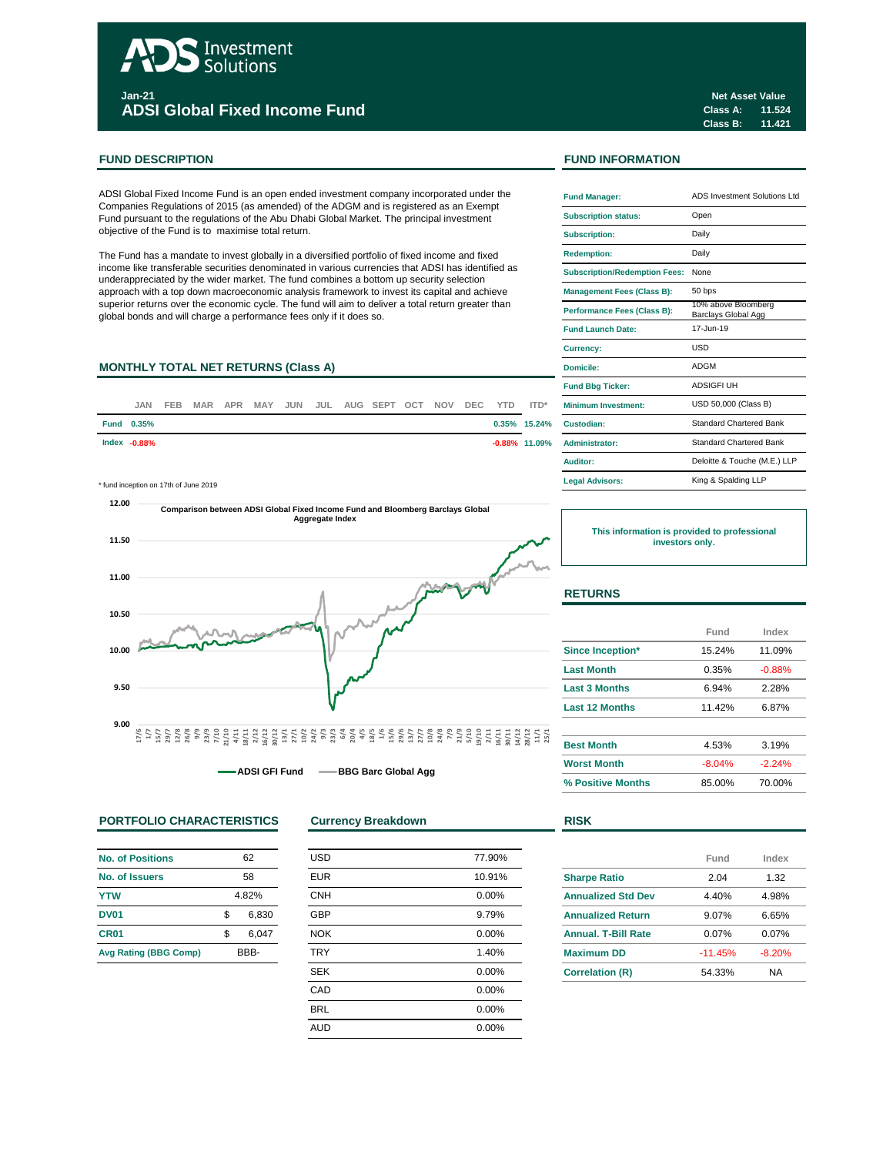# Investment Solutions **Jan-21**

**ADSI Global Fixed Income Fund**

### **FUND DESCRIPTION FUND INFORMATION**

ADSI Global Fixed Income Fund is an open ended investment company incorporated under the Companies Regulations of 2015 (as amended) of the ADGM and is registered as an Exempt Fund pursuant to the regulations of the Abu Dhabi Global Market. The principal investment objective of the Fund is to maximise total return.

The Fund has a mandate to invest globally in a diversified portfolio of fixed income and fixed income like transferable securities denominated in various currencies that ADSI has identified as underappreciated by the wider market. The fund combines a bottom up security selection approach with a top down macroeconomic analysis framework to invest its capital and achieve superior returns over the economic cycle. The fund will aim to deliver a total return greater than global bonds and will charge a performance fees only if it does so.

# **MONTHLY TOTAL NET RETURNS (Class A)**

| JAN               | FEB |  |  |  | MAR APR MAY JUN JUL AUG SEPT OCT NOV |  | DEC YTD ITD* | <b>Minimum Investment:</b>          |
|-------------------|-----|--|--|--|--------------------------------------|--|--------------|-------------------------------------|
| <b>Fund 0.35%</b> |     |  |  |  |                                      |  |              | 0.35% 15.24% Custodian:             |
| Index -0.88%      |     |  |  |  |                                      |  |              | <b>-0.88%</b> 11.09% Administrator: |

\* fund inception on 17th of June 2019 **Legal Advisors:**



**ADSI GFI Fund BBG Barc Global Agg** 

### **PORTFOLIO CHARACTERISTICS Currency Breakdown RISK**

| <b>No. of Positions</b>      | 62    |       |  |  |
|------------------------------|-------|-------|--|--|
| No. of Issuers               | 58    |       |  |  |
| <b>YTW</b>                   | 4.82% |       |  |  |
| <b>DV01</b>                  | \$    | 6,830 |  |  |
| CR <sub>01</sub>             | \$    | 6.047 |  |  |
| <b>Avg Rating (BBG Comp)</b> | RRR-  |       |  |  |

| <b>USD</b> | 77.90% |
|------------|--------|
| <b>EUR</b> | 10.91% |
| <b>CNH</b> | 0.00%  |
| <b>GBP</b> | 9.79%  |
| <b>NOK</b> | 0.00%  |
| <b>TRY</b> | 1.40%  |
| <b>SEK</b> | 0.00%  |
| CAD        | 0.00%  |
| <b>BRL</b> | 0.00%  |
| <b>AUD</b> | 0.00%  |
|            |        |

|  | <b>Fund Manager:</b>                 | ADS Investment Solutions Ltd               |  |  |  |
|--|--------------------------------------|--------------------------------------------|--|--|--|
|  | <b>Subscription status:</b>          | Open                                       |  |  |  |
|  | <b>Subscription:</b>                 | Daily                                      |  |  |  |
|  | <b>Redemption:</b>                   | Daily                                      |  |  |  |
|  | <b>Subscription/Redemption Fees:</b> | None                                       |  |  |  |
|  | <b>Management Fees (Class B):</b>    | 50 bps                                     |  |  |  |
|  | Performance Fees (Class B):          | 10% above Bloomberg<br>Barclays Global Agg |  |  |  |
|  | <b>Fund Launch Date:</b>             | 17-Jun-19                                  |  |  |  |
|  | Currency:                            | USD                                        |  |  |  |
|  | Domicile:                            | ADGM                                       |  |  |  |
|  | <b>Fund Bbg Ticker:</b>              | <b>ADSIGFI UH</b>                          |  |  |  |
|  | Minimum Investment:                  | USD 50,000 (Class B)                       |  |  |  |
|  | Custodian:                           | <b>Standard Chartered Bank</b>             |  |  |  |
|  | <b>Administrator:</b>                | Standard Chartered Bank                    |  |  |  |
|  | Auditor:                             | Deloitte & Touche (M.E.) LLP               |  |  |  |
|  | <b>Legal Advisors:</b>               | King & Spalding LLP                        |  |  |  |

**This information is provided to professional investors only.**

# **RETURNS**

|                       | Fund     | Index    |  |
|-----------------------|----------|----------|--|
| Since Inception*      | 15.24%   | 11.09%   |  |
| <b>Last Month</b>     | 0.35%    | $-0.88%$ |  |
| <b>Last 3 Months</b>  | 6.94%    | 2.28%    |  |
| <b>Last 12 Months</b> | 11 42%   | 6.87%    |  |
| <b>Best Month</b>     | 4.53%    | 3.19%    |  |
| <b>Worst Month</b>    | $-8.04%$ | $-2.24%$ |  |
| % Positive Months     | 85.00%   | 70.00%   |  |

|                            | Fund      | Index    |  |
|----------------------------|-----------|----------|--|
| <b>Sharpe Ratio</b>        | 2.04      | 1.32     |  |
| <b>Annualized Std Dev</b>  | 4.40%     | 4.98%    |  |
| <b>Annualized Return</b>   | 9.07%     | 6.65%    |  |
| <b>Annual, T-Bill Rate</b> | 0.07%     | 0.07%    |  |
| <b>Maximum DD</b>          | $-11.45%$ | $-8.20%$ |  |
| <b>Correlation (R)</b>     | 54.33%    | NA       |  |